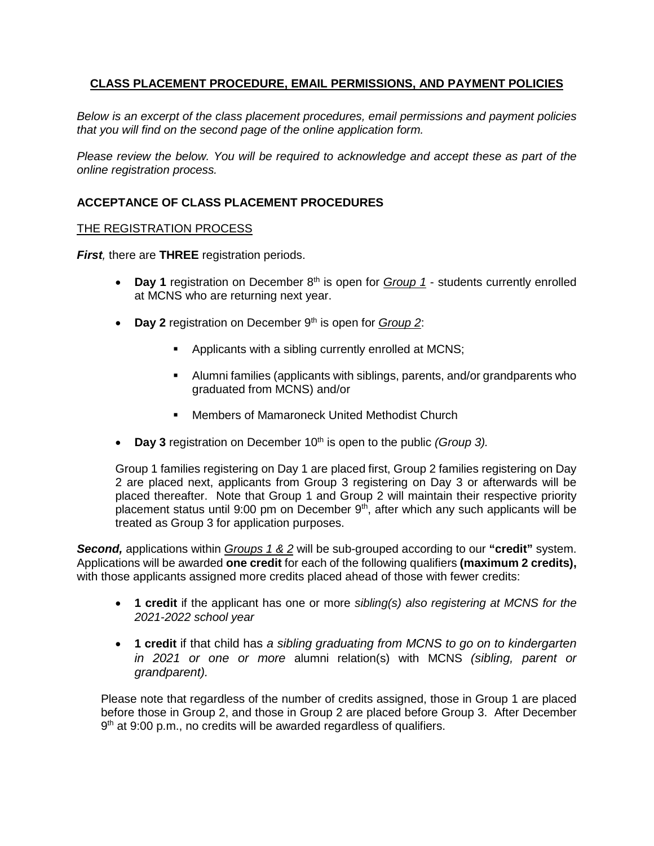# **CLASS PLACEMENT PROCEDURE, EMAIL PERMISSIONS, AND PAYMENT POLICIES**

*Below is an excerpt of the class placement procedures, email permissions and payment policies that you will find on the second page of the online application form.*

*Please review the below. You will be required to acknowledge and accept these as part of the online registration process.*

# **ACCEPTANCE OF CLASS PLACEMENT PROCEDURES**

#### THE REGISTRATION PROCESS

*First,* there are **THREE** registration periods.

- Day 1 registration on December 8<sup>th</sup> is open for *Group 1* students currently enrolled at MCNS who are returning next year.
- **Day 2** registration on December 9<sup>th</sup> is open for *Group 2*:
	- Applicants with a sibling currently enrolled at MCNS;
	- Alumni families (applicants with siblings, parents, and/or grandparents who graduated from MCNS) and/or
	- Members of Mamaroneck United Methodist Church
- **Day 3** registration on December 10<sup>th</sup> is open to the public *(Group 3)*.

Group 1 families registering on Day 1 are placed first, Group 2 families registering on Day 2 are placed next, applicants from Group 3 registering on Day 3 or afterwards will be placed thereafter. Note that Group 1 and Group 2 will maintain their respective priority placement status until 9:00 pm on December  $9<sup>th</sup>$ , after which any such applicants will be treated as Group 3 for application purposes.

*Second,* applications within *Groups 1 & 2* will be sub-grouped according to our **"credit"** system. Applications will be awarded **one credit** for each of the following qualifiers **(maximum 2 credits),**  with those applicants assigned more credits placed ahead of those with fewer credits:

- **1 credit** if the applicant has one or more *sibling(s) also registering at MCNS for the 2021-2022 school year*
- **1 credit** if that child has *a sibling graduating from MCNS to go on to kindergarten in 2021 or one or more* alumni relation(s) with MCNS *(sibling, parent or grandparent).*

Please note that regardless of the number of credits assigned, those in Group 1 are placed before those in Group 2, and those in Group 2 are placed before Group 3. After December 9<sup>th</sup> at 9:00 p.m., no credits will be awarded regardless of qualifiers.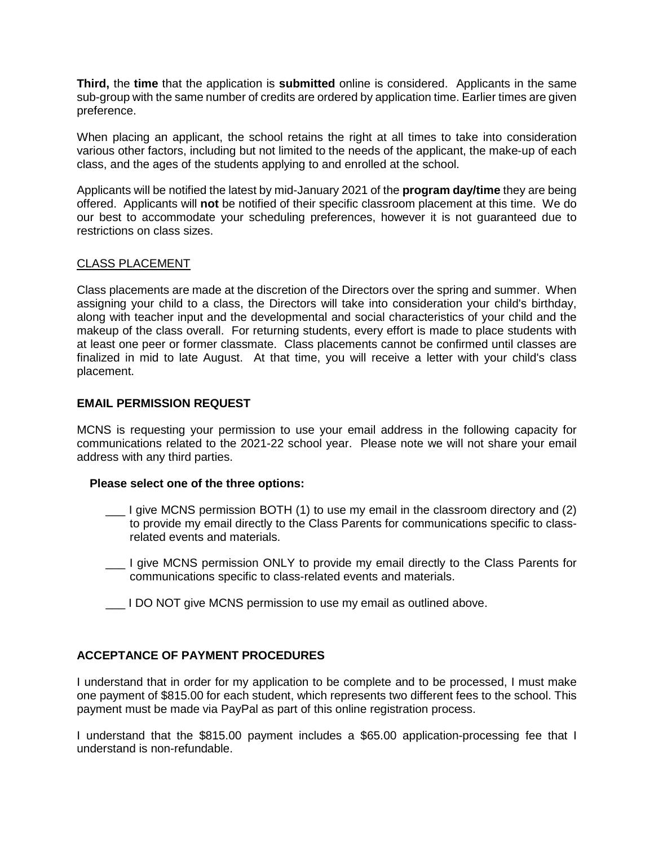**Third,** the **time** that the application is **submitted** online is considered. Applicants in the same sub-group with the same number of credits are ordered by application time. Earlier times are given preference.

When placing an applicant, the school retains the right at all times to take into consideration various other factors, including but not limited to the needs of the applicant, the make-up of each class, and the ages of the students applying to and enrolled at the school.

Applicants will be notified the latest by mid-January 2021 of the **program day/time** they are being offered. Applicants will **not** be notified of their specific classroom placement at this time. We do our best to accommodate your scheduling preferences, however it is not guaranteed due to restrictions on class sizes.

# CLASS PLACEMENT

Class placements are made at the discretion of the Directors over the spring and summer. When assigning your child to a class, the Directors will take into consideration your child's birthday, along with teacher input and the developmental and social characteristics of your child and the makeup of the class overall. For returning students, every effort is made to place students with at least one peer or former classmate. Class placements cannot be confirmed until classes are finalized in mid to late August. At that time, you will receive a letter with your child's class placement.

#### **EMAIL PERMISSION REQUEST**

MCNS is requesting your permission to use your email address in the following capacity for communications related to the 2021-22 school year. Please note we will not share your email address with any third parties.

#### **Please select one of the three options:**

- \_\_\_ I give MCNS permission BOTH (1) to use my email in the classroom directory and (2) to provide my email directly to the Class Parents for communications specific to classrelated events and materials.
- \_\_\_ I give MCNS permission ONLY to provide my email directly to the Class Parents for communications specific to class-related events and materials.
- \_\_\_ I DO NOT give MCNS permission to use my email as outlined above.

# **ACCEPTANCE OF PAYMENT PROCEDURES**

I understand that in order for my application to be complete and to be processed, I must make one payment of \$815.00 for each student, which represents two different fees to the school. This payment must be made via PayPal as part of this online registration process.

I understand that the \$815.00 payment includes a \$65.00 application-processing fee that I understand is non-refundable.